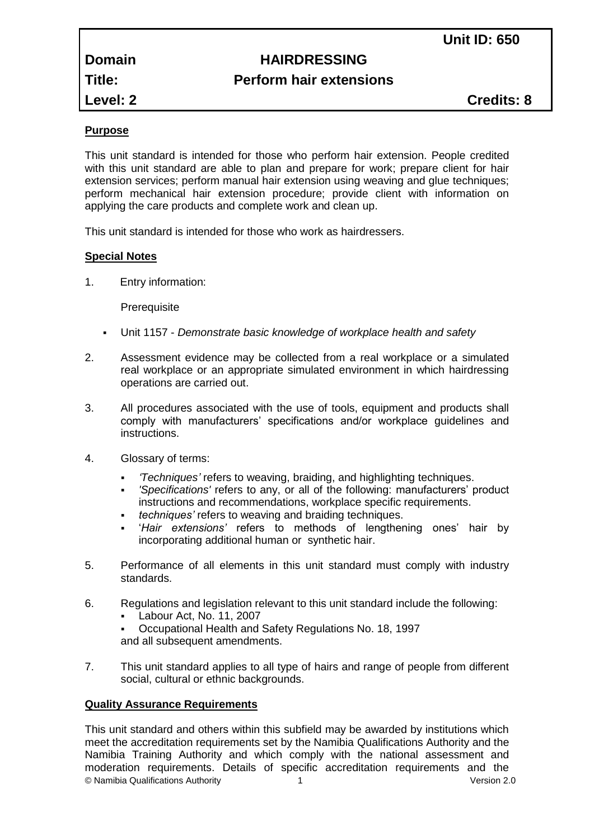# **Domain HAIRDRESSING Title: Perform hair extensions**

**Level: 2 Credits: 8**

# **Purpose**

This unit standard is intended for those who perform hair extension. People credited with this unit standard are able to plan and prepare for work; prepare client for hair extension services; perform manual hair extension using weaving and glue techniques; perform mechanical hair extension procedure; provide client with information on applying the care products and complete work and clean up.

This unit standard is intended for those who work as hairdressers.

# **Special Notes**

1. Entry information:

**Prerequisite** 

- Unit 1157 *Demonstrate basic knowledge of workplace health and safety*
- 2. Assessment evidence may be collected from a real workplace or a simulated real workplace or an appropriate simulated environment in which hairdressing operations are carried out.
- 3. All procedures associated with the use of tools, equipment and products shall comply with manufacturers' specifications and/or workplace guidelines and instructions.
- 4. Glossary of terms:
	- *'Techniques'* refers to weaving, braiding, and highlighting techniques.
	- *'Specifications'* refers to any, or all of the following: manufacturers' product instructions and recommendations, workplace specific requirements.
	- *techniques'* refers to weaving and braiding techniques.
	- '*Hair extensions'* refers to methods of lengthening ones' hair by incorporating additional human or synthetic hair.
- 5. Performance of all elements in this unit standard must comply with industry standards.
- 6. Regulations and legislation relevant to this unit standard include the following:
	- Labour Act, No. 11, 2007

 Occupational Health and Safety Regulations No. 18, 1997 and all subsequent amendments.

7. This unit standard applies to all type of hairs and range of people from different social, cultural or ethnic backgrounds.

# **Quality Assurance Requirements**

© Namibia Qualifications Authority 1 Version 2.0 This unit standard and others within this subfield may be awarded by institutions which meet the accreditation requirements set by the Namibia Qualifications Authority and the Namibia Training Authority and which comply with the national assessment and moderation requirements. Details of specific accreditation requirements and the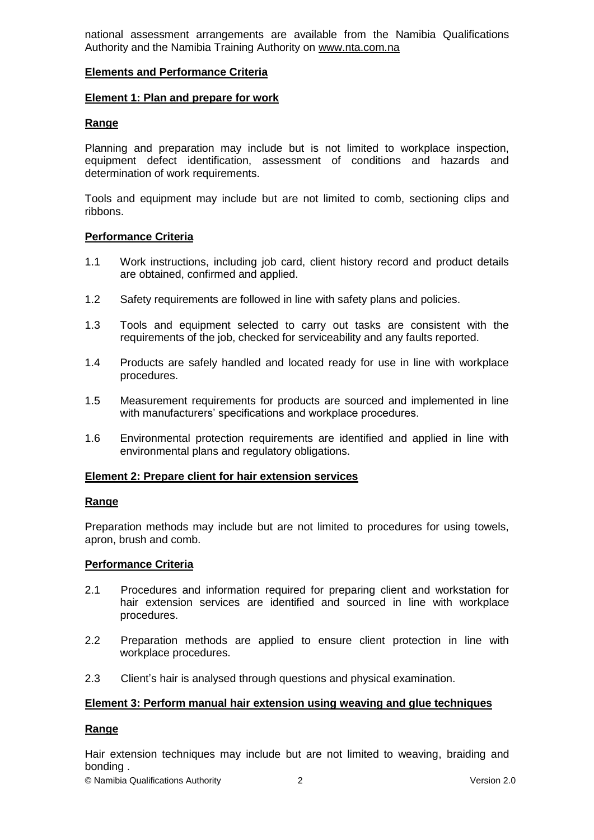national assessment arrangements are available from the Namibia Qualifications Authority and the Namibia Training Authority on [www.nta.com.na](http://www.nta.com.na/)

### **Elements and Performance Criteria**

#### **Element 1: Plan and prepare for work**

### **Range**

Planning and preparation may include but is not limited to workplace inspection, equipment defect identification, assessment of conditions and hazards and determination of work requirements.

Tools and equipment may include but are not limited to comb, sectioning clips and ribbons.

### **Performance Criteria**

- 1.1 Work instructions, including job card, client history record and product details are obtained, confirmed and applied.
- 1.2 Safety requirements are followed in line with safety plans and policies.
- 1.3 Tools and equipment selected to carry out tasks are consistent with the requirements of the job, checked for serviceability and any faults reported.
- 1.4 Products are safely handled and located ready for use in line with workplace procedures.
- 1.5 Measurement requirements for products are sourced and implemented in line with manufacturers' specifications and workplace procedures.
- 1.6 Environmental protection requirements are identified and applied in line with environmental plans and regulatory obligations.

#### **Element 2: Prepare client for hair extension services**

#### **Range**

Preparation methods may include but are not limited to procedures for using towels, apron, brush and comb.

#### **Performance Criteria**

- 2.1 Procedures and information required for preparing client and workstation for hair extension services are identified and sourced in line with workplace procedures.
- 2.2 Preparation methods are applied to ensure client protection in line with workplace procedures.
- 2.3 Client's hair is analysed through questions and physical examination.

#### **Element 3: Perform manual hair extension using weaving and glue techniques**

#### **Range**

Hair extension techniques may include but are not limited to weaving, braiding and bonding .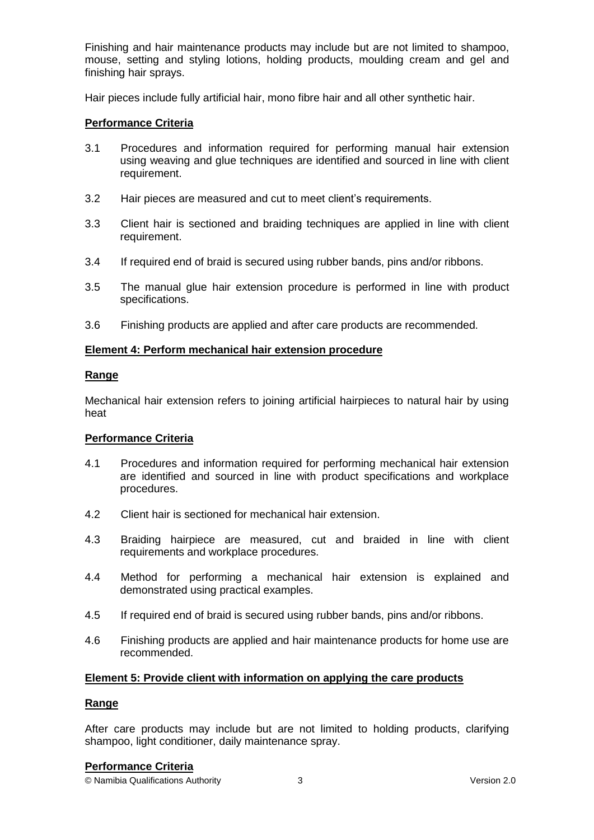Finishing and hair maintenance products may include but are not limited to shampoo, mouse, setting and styling lotions, holding products, moulding cream and gel and finishing hair sprays.

Hair pieces include fully artificial hair, mono fibre hair and all other synthetic hair.

# **Performance Criteria**

- 3.1 Procedures and information required for performing manual hair extension using weaving and glue techniques are identified and sourced in line with client requirement.
- 3.2 Hair pieces are measured and cut to meet client's requirements.
- 3.3 Client hair is sectioned and braiding techniques are applied in line with client requirement.
- 3.4 If required end of braid is secured using rubber bands, pins and/or ribbons.
- 3.5 The manual glue hair extension procedure is performed in line with product specifications.
- 3.6 Finishing products are applied and after care products are recommended.

# **Element 4: Perform mechanical hair extension procedure**

# **Range**

Mechanical hair extension refers to joining artificial hairpieces to natural hair by using heat

# **Performance Criteria**

- 4.1 Procedures and information required for performing mechanical hair extension are identified and sourced in line with product specifications and workplace procedures.
- 4.2 Client hair is sectioned for mechanical hair extension.
- 4.3 Braiding hairpiece are measured, cut and braided in line with client requirements and workplace procedures.
- 4.4 Method for performing a mechanical hair extension is explained and demonstrated using practical examples.
- 4.5 If required end of braid is secured using rubber bands, pins and/or ribbons.
- 4.6 Finishing products are applied and hair maintenance products for home use are recommended.

# **Element 5: Provide client with information on applying the care products**

# **Range**

After care products may include but are not limited to holding products, clarifying shampoo, light conditioner, daily maintenance spray.

#### **Performance Criteria**

© Namibia Qualifications Authority 3 Version 2.0